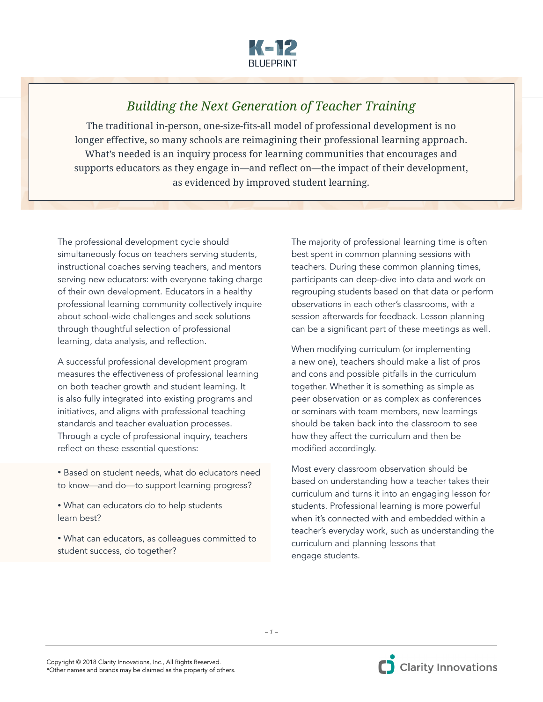

## *Building the Next Generation of Teacher Training*

The traditional in-person, one-size-fits-all model of professional development is no longer effective, so many schools are reimagining their professional learning approach. What's needed is an inquiry process for learning communities that encourages and supports educators as they engage in—and reflect on—the impact of their development, as evidenced by improved student learning.

The professional development cycle should simultaneously focus on teachers serving students, instructional coaches serving teachers, and mentors serving new educators: with everyone taking charge of their own development. Educators in a healthy professional learning community collectively inquire about school-wide challenges and seek solutions through thoughtful selection of professional learning, data analysis, and reflection.

A successful professional development program measures the effectiveness of professional learning on both teacher growth and student learning. It is also fully integrated into existing programs and initiatives, and aligns with professional teaching standards and teacher evaluation processes. Through a cycle of professional inquiry, teachers reflect on these essential questions:

- Based on student needs, what do educators need to know—and do—to support learning progress?
- What can educators do to help students learn best?
- What can educators, as colleagues committed to student success, do together?

The majority of professional learning time is often best spent in common planning sessions with teachers. During these common planning times, participants can deep-dive into data and work on regrouping students based on that data or perform observations in each other's classrooms, with a session afterwards for feedback. Lesson planning can be a significant part of these meetings as well.

When modifying curriculum (or implementing a new one), teachers should make a list of pros and cons and possible pitfalls in the curriculum together. Whether it is something as simple as peer observation or as complex as conferences or seminars with team members, new learnings should be taken back into the classroom to see how they affect the curriculum and then be modified accordingly.

Most every classroom observation should be based on understanding how a teacher takes their curriculum and turns it into an engaging lesson for students. Professional learning is more powerful when it's connected with and embedded within a teacher's everyday work, such as understanding the curriculum and planning lessons that engage students.